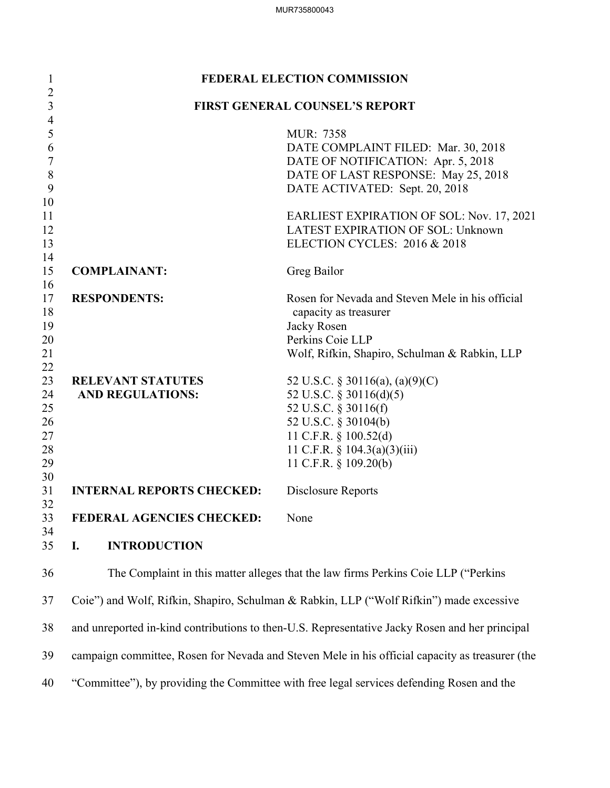| $\mathbf{1}$        |                                  | <b>FEDERAL ELECTION COMMISSION</b>                                                              |
|---------------------|----------------------------------|-------------------------------------------------------------------------------------------------|
| $\overline{2}$<br>3 |                                  | <b>FIRST GENERAL COUNSEL'S REPORT</b>                                                           |
| $\overline{4}$      |                                  |                                                                                                 |
| 5                   |                                  | MUR: 7358                                                                                       |
| 6                   |                                  | DATE COMPLAINT FILED: Mar. 30, 2018                                                             |
| 7                   |                                  | DATE OF NOTIFICATION: Apr. 5, 2018                                                              |
| 8                   |                                  | DATE OF LAST RESPONSE: May 25, 2018                                                             |
| 9                   |                                  | DATE ACTIVATED: Sept. 20, 2018                                                                  |
| 10                  |                                  |                                                                                                 |
| 11                  |                                  | EARLIEST EXPIRATION OF SOL: Nov. 17, 2021                                                       |
| 12                  |                                  | LATEST EXPIRATION OF SOL: Unknown                                                               |
| 13                  |                                  | ELECTION CYCLES: 2016 & 2018                                                                    |
| 14                  | <b>COMPLAINANT:</b>              |                                                                                                 |
| 15<br>16            |                                  | Greg Bailor                                                                                     |
| 17                  | <b>RESPONDENTS:</b>              | Rosen for Nevada and Steven Mele in his official                                                |
| 18                  |                                  | capacity as treasurer                                                                           |
| 19                  |                                  | Jacky Rosen                                                                                     |
| 20                  |                                  | Perkins Coie LLP                                                                                |
| 21                  |                                  | Wolf, Rifkin, Shapiro, Schulman & Rabkin, LLP                                                   |
| 22                  |                                  |                                                                                                 |
| 23                  | <b>RELEVANT STATUTES</b>         | 52 U.S.C. § 30116(a), (a)(9)(C)                                                                 |
| 24                  | <b>AND REGULATIONS:</b>          | 52 U.S.C. § 30116(d)(5)                                                                         |
| 25                  |                                  | 52 U.S.C. § 30116(f)                                                                            |
| 26                  |                                  | 52 U.S.C. § 30104(b)                                                                            |
| 27                  |                                  | 11 C.F.R. § 100.52(d)                                                                           |
| 28                  |                                  | 11 C.F.R. $\S$ 104.3(a)(3)(iii)                                                                 |
| 29                  |                                  | 11 C.F.R. § 109.20(b)                                                                           |
| 30                  |                                  |                                                                                                 |
| 31                  | <b>INTERNAL REPORTS CHECKED:</b> | Disclosure Reports                                                                              |
| 32                  |                                  |                                                                                                 |
| 33                  | FEDERAL AGENCIES CHECKED:        | None                                                                                            |
| 34<br>35            | I.<br><b>INTRODUCTION</b>        |                                                                                                 |
| 36                  |                                  | The Complaint in this matter alleges that the law firms Perkins Coie LLP ("Perkins"             |
| 37                  |                                  | Coie") and Wolf, Rifkin, Shapiro, Schulman & Rabkin, LLP ("Wolf Rifkin") made excessive         |
| 38                  |                                  | and unreported in-kind contributions to then-U.S. Representative Jacky Rosen and her principal  |
| 39                  |                                  | campaign committee, Rosen for Nevada and Steven Mele in his official capacity as treasurer (the |

40 "Committee"), by providing the Committee with free legal services defending Rosen and the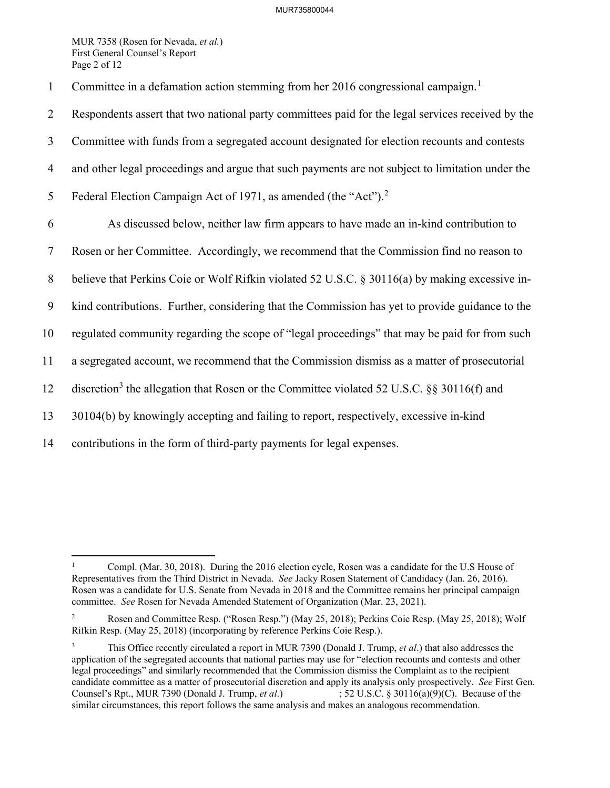MUR 7358 (Rosen for Nevada, *et al.*) First General Counsel's Report Page 2 of 12

 $\overline{a}$ 

Committee in a defamation action stemming from her 20[1](#page-1-0)6 congressional campaign.<sup>1</sup>

2 Respondents assert that two national party committees paid for the legal services received by the 3 Committee with funds from a segregated account designated for election recounts and contests 4 and other legal proceedings and argue that such payments are not subject to limitation under the 5 Federal Election Campaign Act of 1971, as amended (the "Act").<sup>[2](#page-1-1)</sup> 6 As discussed below, neither law firm appears to have made an in-kind contribution to 7 Rosen or her Committee. Accordingly, we recommend that the Commission find no reason to 8 believe that Perkins Coie or Wolf Rifkin violated 52 U.S.C. § 30116(a) by making excessive in-9 kind contributions. Further, considering that the Commission has yet to provide guidance to the 10 regulated community regarding the scope of "legal proceedings" that may be paid for from such 11 a segregated account, we recommend that the Commission dismiss as a matter of prosecutorial 12 discretion<sup>[3](#page-1-2)</sup> the allegation that Rosen or the Committee violated 52 U.S.C. §§ 30116(f) and 13 30104(b) by knowingly accepting and failing to report, respectively, excessive in-kind 14 contributions in the form of third-party payments for legal expenses.

<span id="page-1-0"></span><sup>1</sup> Compl. (Mar. 30, 2018). During the 2016 election cycle, Rosen was a candidate for the U.S House of Representatives from the Third District in Nevada. *See* Jacky Rosen Statement of Candidacy (Jan. 26, 2016). Rosen was a candidate for U.S. Senate from Nevada in 2018 and the Committee remains her principal campaign committee. *See* Rosen for Nevada Amended Statement of Organization (Mar. 23, 2021).

<span id="page-1-1"></span><sup>2</sup> Rosen and Committee Resp. ("Rosen Resp.") (May 25, 2018); Perkins Coie Resp. (May 25, 2018); Wolf Rifkin Resp. (May 25, 2018) (incorporating by reference Perkins Coie Resp.).

<span id="page-1-2"></span><sup>3</sup> This Office recently circulated a report in MUR 7390 (Donald J. Trump, *et al*.) that also addresses the application of the segregated accounts that national parties may use for "election recounts and contests and other legal proceedings" and similarly recommended that the Commission dismiss the Complaint as to the recipient candidate committee as a matter of prosecutorial discretion and apply its analysis only prospectively. *See* First Gen. Counsel's Rpt., MUR 7390 (Donald J. Trump, *et al*.) ; 52 U.S.C. § 30116(a)(9)(C). Because of the similar circumstances, this report follows the same analysis and makes an analogous recommendation.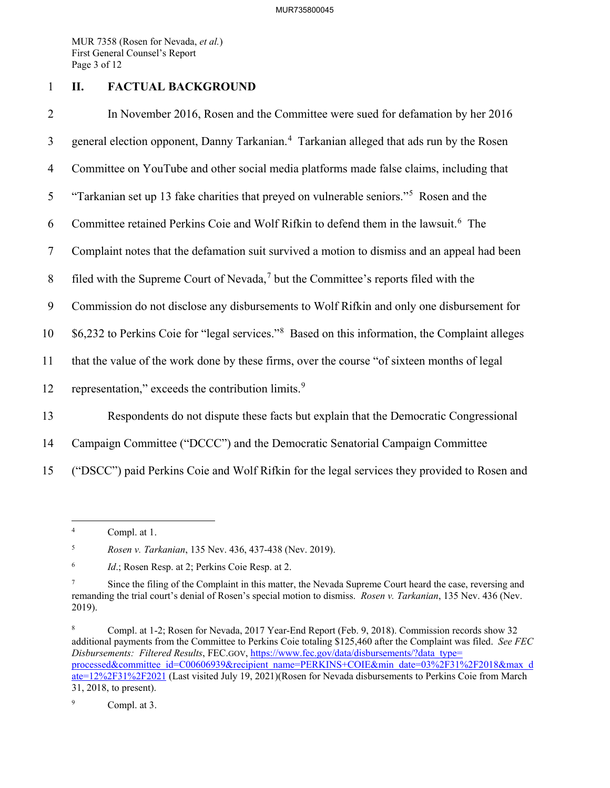MUR 7358 (Rosen for Nevada, *et al.*) First General Counsel's Report Page 3 of 12

# 1 **II. FACTUAL BACKGROUND**

2 In November 2016, Rosen and the Committee were sued for defamation by her 2016 3 general election opponent, Danny Tarkanian.<sup>[4](#page-2-0)</sup> Tarkanian alleged that ads run by the Rosen 4 Committee on YouTube and other social media platforms made false claims, including that [5](#page-2-1) "Tarkanian set up 13 fake charities that preyed on vulnerable seniors."<sup>5</sup> Rosen and the 6 Committee retained Perkins Coie and Wolf Rifkin to defend them in the lawsuit.<sup>6</sup> The 7 Complaint notes that the defamation suit survived a motion to dismiss and an appeal had been 8 filed with the Supreme Court of Nevada,<sup>[7](#page-2-3)</sup> but the Committee's reports filed with the 9 Commission do not disclose any disbursements to Wolf Rifkin and only one disbursement for 10 \$6,232 to Perkins Coie for "legal services."<sup>[8](#page-2-4)</sup> Based on this information, the Complaint alleges 11 that the value of the work done by these firms, over the course "of sixteen months of legal 12 representation," exceeds the contribution limits. $9$ 13 Respondents do not dispute these facts but explain that the Democratic Congressional

- 14 Campaign Committee ("DCCC") and the Democratic Senatorial Campaign Committee
- 15 ("DSCC") paid Perkins Coie and Wolf Rifkin for the legal services they provided to Rosen and

<span id="page-2-0"></span> $\frac{1}{4}$ Compl. at 1.

<span id="page-2-1"></span><sup>5</sup> *Rosen v. Tarkanian*, 135 Nev. 436, 437-438 (Nev. 2019).

<span id="page-2-2"></span><sup>6</sup> *Id.*; Rosen Resp. at 2; Perkins Coie Resp. at 2.

<span id="page-2-3"></span><sup>7</sup> Since the filing of the Complaint in this matter, the Nevada Supreme Court heard the case, reversing and remanding the trial court's denial of Rosen's special motion to dismiss. *Rosen v. Tarkanian*, 135 Nev. 436 (Nev. 2019).

<span id="page-2-4"></span><sup>8</sup> Compl. at 1-2; Rosen for Nevada, 2017 Year-End Report (Feb. 9, 2018). Commission records show 32 additional payments from the Committee to Perkins Coie totaling \$125,460 after the Complaint was filed. *See FEC Disbursements: Filtered Results*, FEC.GOV[, https://www.fec.gov/data/disbursements/?data\\_type=](https://www.fec.gov/data/disbursements/?data_type=%E2%80%8Cprocessed&committee_id=C00606939&recipient_name=PERKINS+COIE&min_date=03%2F31%2F2018&max_date=12%2F31%2F2021) [processed&committee\\_id=C00606939&recipient\\_name=PERKINS+COIE&min\\_date=03%2F31%2F2018&max\\_d](https://www.fec.gov/data/disbursements/?data_type=%E2%80%8Cprocessed&committee_id=C00606939&recipient_name=PERKINS+COIE&min_date=03%2F31%2F2018&max_date=12%2F31%2F2021) [ate=12%2F31%2F2021](https://www.fec.gov/data/disbursements/?data_type=%E2%80%8Cprocessed&committee_id=C00606939&recipient_name=PERKINS+COIE&min_date=03%2F31%2F2018&max_date=12%2F31%2F2021) (Last visited July 19, 2021)(Rosen for Nevada disbursements to Perkins Coie from March 31, 2018, to present).

<span id="page-2-5"></span><sup>9</sup> Compl. at 3.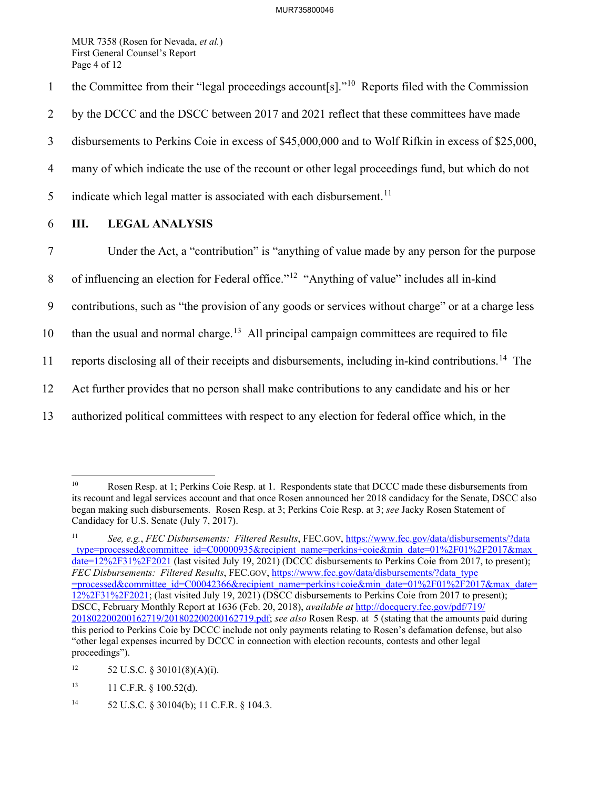MUR 7358 (Rosen for Nevada, *et al.*) First General Counsel's Report Page 4 of 12

- 1 the Committee from their "legal proceedings account[s]."<sup>[10](#page-3-0)</sup> Reports filed with the Commission
- 2 by the DCCC and the DSCC between 2017 and 2021 reflect that these committees have made
- 3 disbursements to Perkins Coie in excess of \$45,000,000 and to Wolf Rifkin in excess of \$25,000,
- 4 many of which indicate the use of the recount or other legal proceedings fund, but which do not
- 5 indicate which legal matter is associated with each disbursement.<sup>[11](#page-3-1)</sup>
- 6 **III. LEGAL ANALYSIS**
- 7 Under the Act, a "contribution" is "anything of value made by any person for the purpose
- 8 of influencing an election for Federal office."<sup>[12](#page-3-2)</sup> "Anything of value" includes all in-kind
- 9 contributions, such as "the provision of any goods or services without charge" or at a charge less

10 than the usual and normal charge.<sup>[13](#page-3-3)</sup> All principal campaign committees are required to file

11 reports disclosing all of their receipts and disbursements, including in-kind contributions.<sup>[14](#page-3-4)</sup> The

- 12 Act further provides that no person shall make contributions to any candidate and his or her
- 13 authorized political committees with respect to any election for federal office which, in the

- <span id="page-3-3"></span> $11 \text{ C.F.R. }$  § 100.52(d).
- <span id="page-3-4"></span>14 52 U.S.C. § 30104(b); 11 C.F.R. § 104.3.

<span id="page-3-0"></span> $\overline{a}$ 10 Rosen Resp. at 1; Perkins Coie Resp. at 1. Respondents state that DCCC made these disbursements from its recount and legal services account and that once Rosen announced her 2018 candidacy for the Senate, DSCC also began making such disbursements. Rosen Resp. at 3; Perkins Coie Resp. at 3; *see* Jacky Rosen Statement of Candidacy for U.S. Senate (July 7, 2017).

<span id="page-3-1"></span><sup>11</sup> *See, e.g.*, *FEC Disbursements: Filtered Results*, FEC.GOV, https://www.fec.gov/data/disbursements/?data \_type=processed&committee\_id=C00000935&recipient\_name=perkins+coie&min\_date=01%2F01%2F2017&max\_ date=12%2F31%2F2021 (last visited July 19, 2021) (DCCC disbursements to Perkins Coie from 2017, to present); *FEC Disbursements: Filtered Results*, FEC.GOV, https://www.fec.gov/data/disbursements/?data\_type =processed&committee\_id=C00042366&recipient\_name=perkins+coie&min\_date=01%2F01%2F2017&max\_date= 12%2F31%2F2021; (last visited July 19, 2021) (DSCC disbursements to Perkins Coie from 2017 to present); DSCC, February Monthly Report at 1636 (Feb. 20, 2018), *available at* [http://docquery.fec.gov/pdf/719/](http://docquery.fec.gov/pdf/719/201802200200162719%E2%80%8C/201802200200162719.pdf) [201802200200162719/201802200200162719.pdf;](http://docquery.fec.gov/pdf/719/201802200200162719%E2%80%8C/201802200200162719.pdf) *see also* Rosen Resp. at 5 (stating that the amounts paid during this period to Perkins Coie by DCCC include not only payments relating to Rosen's defamation defense, but also "other legal expenses incurred by DCCC in connection with election recounts, contests and other legal proceedings").

<span id="page-3-2"></span><sup>12 52</sup> U.S.C. § 30101(8)(A)(i).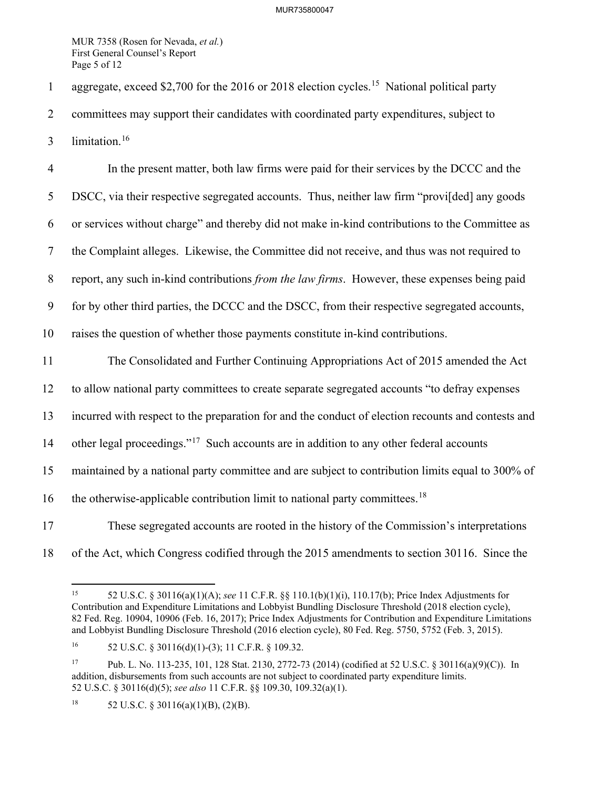MUR 7358 (Rosen for Nevada, *et al.*) First General Counsel's Report Page 5 of 12

1 aggregate, exceed \$2,700 for the 2016 or 2018 election cycles.<sup>[15](#page-4-0)</sup> National political party

2 committees may support their candidates with coordinated party expenditures, subject to

3 limitation.<sup>[16](#page-4-1)</sup>

4 In the present matter, both law firms were paid for their services by the DCCC and the 5 DSCC, via their respective segregated accounts. Thus, neither law firm "provi[ded] any goods 6 or services without charge" and thereby did not make in-kind contributions to the Committee as 7 the Complaint alleges. Likewise, the Committee did not receive, and thus was not required to 8 report, any such in-kind contributions *from the law firms*. However, these expenses being paid 9 for by other third parties, the DCCC and the DSCC, from their respective segregated accounts, 10 raises the question of whether those payments constitute in-kind contributions.

11 The Consolidated and Further Continuing Appropriations Act of 2015 amended the Act 12 to allow national party committees to create separate segregated accounts "to defray expenses 13 incurred with respect to the preparation for and the conduct of election recounts and contests and 14 other legal proceedings."<sup>[17](#page-4-2)</sup> Such accounts are in addition to any other federal accounts 15 maintained by a national party committee and are subject to contribution limits equal to 300% of 16 the otherwise-applicable contribution limit to national party committees.<sup>[18](#page-4-3)</sup> 17 These segregated accounts are rooted in the history of the Commission's interpretations

18 of the Act, which Congress codified through the 2015 amendments to section 30116. Since the

<span id="page-4-0"></span>

 $\overline{a}$ 

<span id="page-4-2"></span>17 Pub. L. No. 113-235, 101, 128 Stat. 2130, 2772-73 (2014) (codified at 52 U.S.C. § 30116(a)(9)(C)). In addition, disbursements from such accounts are not subject to coordinated party expenditure limits. 52 U.S.C. § 30116(d)(5); *see also* 11 C.F.R. §§ 109.30, 109.32(a)(1).

<span id="page-4-3"></span><sup>18</sup> 52 U.S.C. § 30116(a)(1)(B), (2)(B).

<sup>15 52</sup> U.S.C. § 30116(a)(1)(A); *see* 11 C.F.R. §§ 110.1(b)(1)(i), 110.17(b); Price Index Adjustments for Contribution and Expenditure Limitations and Lobbyist Bundling Disclosure Threshold (2018 election cycle), 82 Fed. Reg. 10904, 10906 (Feb. 16, 2017); Price Index Adjustments for Contribution and Expenditure Limitations and Lobbyist Bundling Disclosure Threshold (2016 election cycle), 80 Fed. Reg. 5750, 5752 (Feb. 3, 2015).

<span id="page-4-1"></span><sup>&</sup>lt;sup>16</sup> 52 U.S.C. § 30116(d)(1)-(3); 11 C.F.R. § 109.32.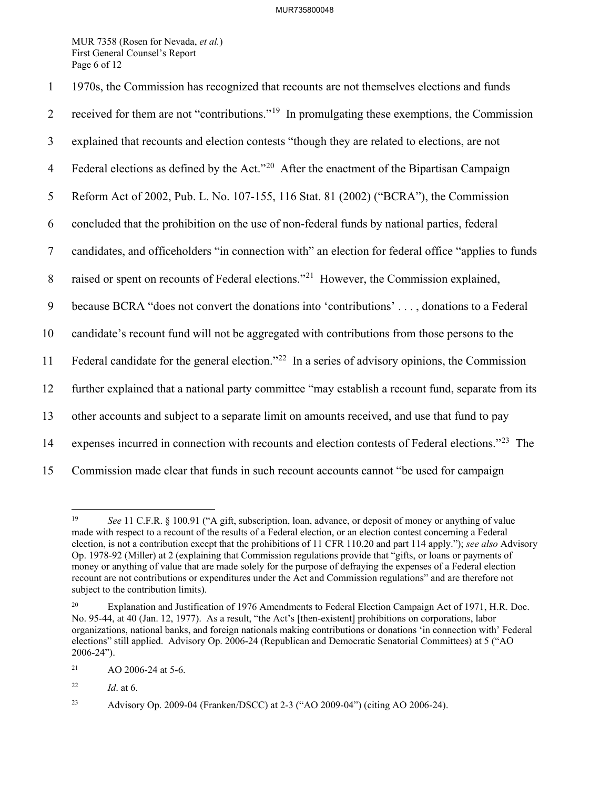MUR 7358 (Rosen for Nevada, *et al.*) First General Counsel's Report Page 6 of 12

| $\mathbf{1}$     | 1970s, the Commission has recognized that recounts are not themselves elections and funds                    |  |
|------------------|--------------------------------------------------------------------------------------------------------------|--|
| $\overline{2}$   | received for them are not "contributions." <sup>19</sup> In promulgating these exemptions, the Commission    |  |
| $\mathfrak{Z}$   | explained that recounts and election contests "though they are related to elections, are not                 |  |
| $\overline{4}$   | Federal elections as defined by the Act." <sup>20</sup> After the enactment of the Bipartisan Campaign       |  |
| 5                | Reform Act of 2002, Pub. L. No. 107-155, 116 Stat. 81 (2002) ("BCRA"), the Commission                        |  |
| 6                | concluded that the prohibition on the use of non-federal funds by national parties, federal                  |  |
| $\tau$           | candidates, and officeholders "in connection with" an election for federal office "applies to funds          |  |
| $\, 8$           | raised or spent on recounts of Federal elections." <sup>21</sup> However, the Commission explained,          |  |
| $\boldsymbol{9}$ | because BCRA "does not convert the donations into 'contributions' , donations to a Federal                   |  |
| 10               | candidate's recount fund will not be aggregated with contributions from those persons to the                 |  |
| 11               | Federal candidate for the general election." <sup>22</sup> In a series of advisory opinions, the Commission  |  |
| 12               | further explained that a national party committee "may establish a recount fund, separate from its           |  |
| 13               | other accounts and subject to a separate limit on amounts received, and use that fund to pay                 |  |
| 14               | expenses incurred in connection with recounts and election contests of Federal elections." <sup>23</sup> The |  |
| 15               | Commission made clear that funds in such recount accounts cannot "be used for campaign                       |  |

<span id="page-5-0"></span><sup>19</sup> See 11 C.F.R. § 100.91 ("A gift, subscription, loan, advance, or deposit of money or anything of value made with respect to a recount of the results of a Federal election, or an election contest concerning a Federal election, is not a contribution except that the prohibitions of 11 CFR 110.20 and part 114 apply."); *see also* Advisory Op. 1978-92 (Miller) at 2 (explaining that Commission regulations provide that "gifts, or loans or payments of money or anything of value that are made solely for the purpose of defraying the expenses of a Federal election recount are not contributions or expenditures under the Act and Commission regulations" and are therefore not subject to the contribution limits).

<span id="page-5-1"></span><sup>&</sup>lt;sup>20</sup> Explanation and Justification of 1976 Amendments to Federal Election Campaign Act of 1971, H.R. Doc. No. 95-44, at 40 (Jan. 12, 1977). As a result, "the Act's [then-existent] prohibitions on corporations, labor organizations, national banks, and foreign nationals making contributions or donations 'in connection with' Federal elections" still applied. Advisory Op. 2006-24 (Republican and Democratic Senatorial Committees) at 5 ("AO 2006-24").

<span id="page-5-2"></span> $21$  AO 2006-24 at 5-6.

<span id="page-5-3"></span><sup>22</sup> *Id*. at 6.

<span id="page-5-4"></span><sup>23</sup> Advisory Op. 2009-04 (Franken/DSCC) at 2-3 ("AO 2009-04") (citing AO 2006-24).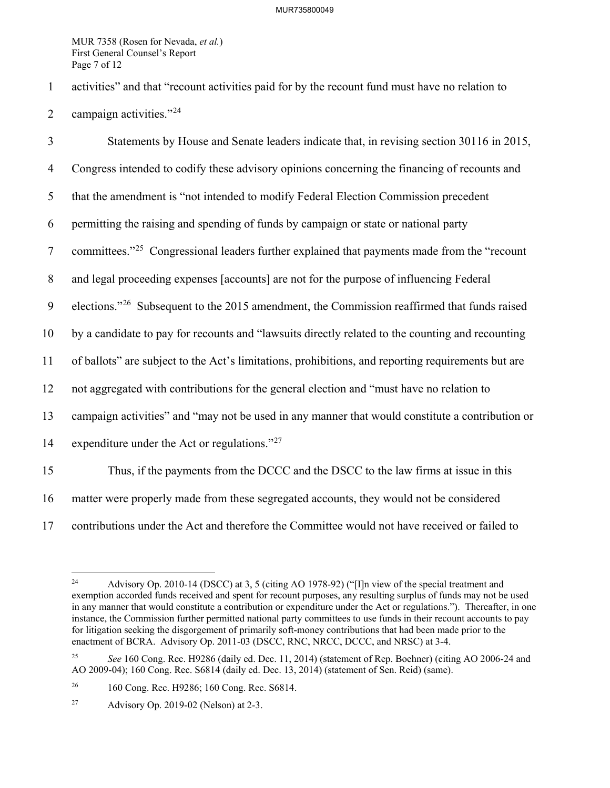MUR 7358 (Rosen for Nevada, *et al.*) First General Counsel's Report Page 7 of 12

1 activities" and that "recount activities paid for by the recount fund must have no relation to 2 campaign activities." $2<sup>24</sup>$  $2<sup>24</sup>$  $2<sup>24</sup>$ 

3 Statements by House and Senate leaders indicate that, in revising section 30116 in 2015, 4 Congress intended to codify these advisory opinions concerning the financing of recounts and 5 that the amendment is "not intended to modify Federal Election Commission precedent 6 permitting the raising and spending of funds by campaign or state or national party 7 committees."<sup>[25](#page-6-1)</sup> Congressional leaders further explained that payments made from the "recount" 8 and legal proceeding expenses [accounts] are not for the purpose of influencing Federal 9 elections."<sup>26</sup> Subsequent to the 2015 amendment, the Commission reaffirmed that funds raised 10 by a candidate to pay for recounts and "lawsuits directly related to the counting and recounting 11 of ballots" are subject to the Act's limitations, prohibitions, and reporting requirements but are 12 not aggregated with contributions for the general election and "must have no relation to 13 campaign activities" and "may not be used in any manner that would constitute a contribution or 14 expenditure under the Act or regulations." $27$ 15 Thus, if the payments from the DCCC and the DSCC to the law firms at issue in this 16 matter were properly made from these segregated accounts, they would not be considered 17 contributions under the Act and therefore the Committee would not have received or failed to

<span id="page-6-0"></span><sup>24</sup> 24 Advisory Op. 2010-14 (DSCC) at 3, 5 (citing AO 1978-92) ("[I]n view of the special treatment and exemption accorded funds received and spent for recount purposes, any resulting surplus of funds may not be used in any manner that would constitute a contribution or expenditure under the Act or regulations."). Thereafter, in one instance, the Commission further permitted national party committees to use funds in their recount accounts to pay for litigation seeking the disgorgement of primarily soft-money contributions that had been made prior to the enactment of BCRA. Advisory Op. 2011-03 (DSCC, RNC, NRCC, DCCC, and NRSC) at 3-4.

<span id="page-6-1"></span><sup>&</sup>lt;sup>25</sup> *See* 160 Cong. Rec. H9286 (daily ed. Dec. 11, 2014) (statement of Rep. Boehner) (citing AO 2006-24 and AO 2009-04); 160 Cong. Rec. S6814 (daily ed. Dec. 13, 2014) (statement of Sen. Reid) (same).

<span id="page-6-2"></span><sup>26 160</sup> Cong. Rec. H9286; 160 Cong. Rec. S6814.

<span id="page-6-3"></span><sup>27</sup> Advisory Op. 2019-02 (Nelson) at 2-3.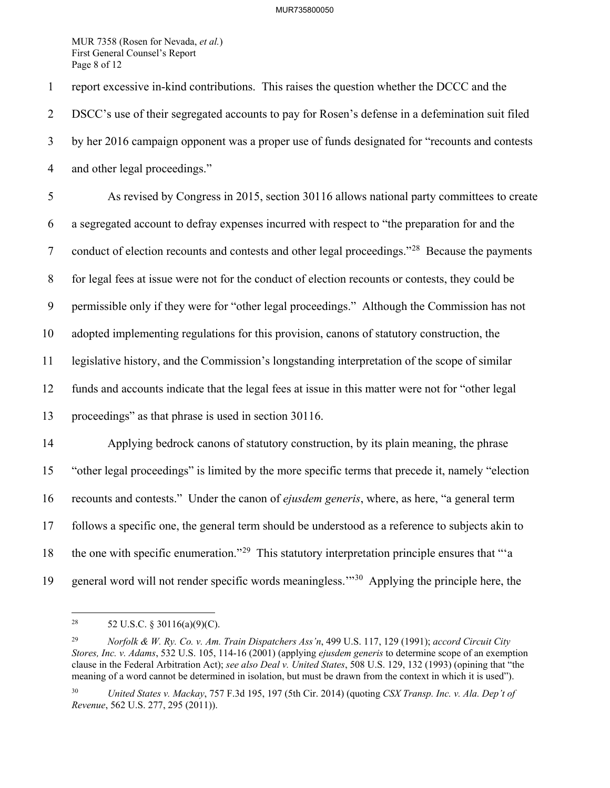MUR 7358 (Rosen for Nevada, *et al.*) First General Counsel's Report Page 8 of 12

1 report excessive in-kind contributions. This raises the question whether the DCCC and the 2 DSCC's use of their segregated accounts to pay for Rosen's defense in a defemination suit filed 3 by her 2016 campaign opponent was a proper use of funds designated for "recounts and contests 4 and other legal proceedings." 5 As revised by Congress in 2015, section 30116 allows national party committees to create 6 a segregated account to defray expenses incurred with respect to "the preparation for and the 7 conduct of election recounts and contests and other legal proceedings."<sup>[28](#page-7-0)</sup> Because the payments 8 for legal fees at issue were not for the conduct of election recounts or contests, they could be 9 permissible only if they were for "other legal proceedings." Although the Commission has not 10 adopted implementing regulations for this provision, canons of statutory construction, the 11 legislative history, and the Commission's longstanding interpretation of the scope of similar 12 funds and accounts indicate that the legal fees at issue in this matter were not for "other legal 13 proceedings" as that phrase is used in section 30116. 14 Applying bedrock canons of statutory construction, by its plain meaning, the phrase 15 "other legal proceedings" is limited by the more specific terms that precede it, namely "election 16 recounts and contests." Under the canon of *ejusdem generis*, where, as here, "a general term 17 follows a specific one, the general term should be understood as a reference to subjects akin to 18 the one with specific enumeration."<sup>29</sup> This statutory interpretation principle ensures that "'a 19 general word will not render specific words meaningless.<sup> $19$ </sup> Applying the principle here, the

<span id="page-7-0"></span> $28\,$ 52 U.S.C. § 30116(a)(9)(C).

<span id="page-7-1"></span><sup>29</sup> *Norfolk & W. Ry. Co. v. Am. Train Dispatchers Ass'n*, 499 U.S. 117, 129 (1991); *accord Circuit City Stores, Inc. v. Adams*, 532 U.S. 105, 114-16 (2001) (applying *ejusdem generis* to determine scope of an exemption clause in the Federal Arbitration Act); *see also Deal v. United States*, 508 U.S. 129, 132 (1993) (opining that "the meaning of a word cannot be determined in isolation, but must be drawn from the context in which it is used").

<span id="page-7-2"></span><sup>30</sup> *United States v. Mackay*, 757 F.3d 195, 197 (5th Cir. 2014) (quoting *CSX Transp. Inc. v. Ala. Dep't of Revenue*, 562 U.S. 277, 295 (2011)).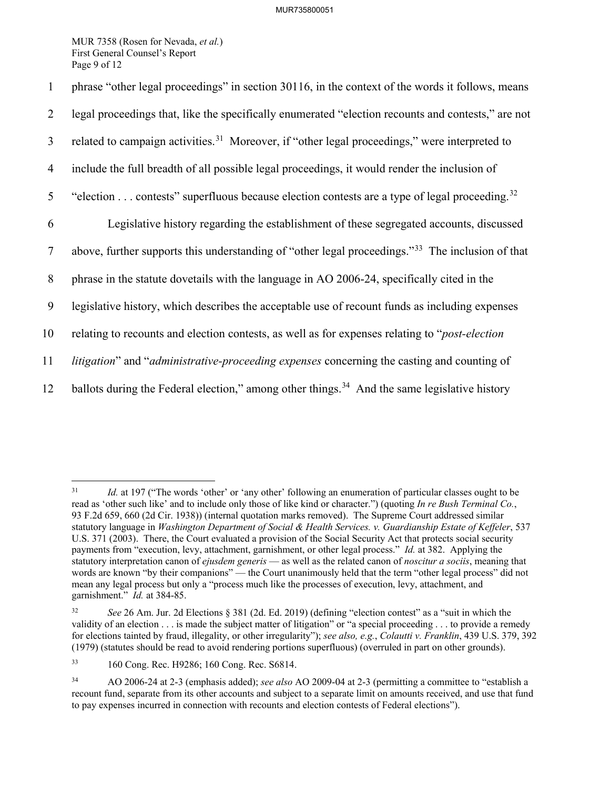MUR 7358 (Rosen for Nevada, *et al.*) First General Counsel's Report Page 9 of 12

1 phrase "other legal proceedings" in section 30116, in the context of the words it follows, means 2 legal proceedings that, like the specifically enumerated "election recounts and contests," are not 3 related to campaign activities.<sup>31</sup> Moreover, if "other legal proceedings," were interpreted to 4 include the full breadth of all possible legal proceedings, it would render the inclusion of 5 "election  $\ldots$  contests" superfluous because election contests are a type of legal proceeding.<sup>[32](#page-8-1)</sup> 6 Legislative history regarding the establishment of these segregated accounts, discussed above, further supports this understanding of "other legal proceedings."[33](#page-8-2) 7 The inclusion of that 8 phrase in the statute dovetails with the language in AO 2006-24, specifically cited in the 9 legislative history, which describes the acceptable use of recount funds as including expenses 10 relating to recounts and election contests, as well as for expenses relating to "*post-election*  11 *litigation*" and "*administrative-proceeding expenses* concerning the casting and counting of 12 ballots during the Federal election," among other things.<sup>[34](#page-8-3)</sup> And the same legislative history

 $\overline{a}$ 

<span id="page-8-0"></span><sup>&</sup>lt;sup>31</sup> *Id.* at 197 ("The words 'other' or 'any other' following an enumeration of particular classes ought to be read as 'other such like' and to include only those of like kind or character.") (quoting *In re Bush Terminal Co.*, 93 F.2d 659, 660 (2d Cir. 1938)) (internal quotation marks removed). The Supreme Court addressed similar statutory language in *Washington Department of Social & Health Services. v. Guardianship Estate of Keffeler*, 537 U.S. 371 (2003). There, the Court evaluated a provision of the Social Security Act that protects social security payments from "execution, levy, attachment, garnishment, or other legal process." *Id.* at 382. Applying the statutory interpretation canon of *ejusdem generis* — as well as the related canon of *noscitur a sociis*, meaning that words are known "by their companions" — the Court unanimously held that the term "other legal process" did not mean any legal process but only a "process much like the processes of execution, levy, attachment, and garnishment." *Id.* at 384-85.

<span id="page-8-1"></span><sup>32</sup> *See* 26 Am. Jur. 2d Elections § 381 (2d. Ed. 2019) (defining "election contest" as a "suit in which the validity of an election . . . is made the subject matter of litigation" or "a special proceeding . . . to provide a remedy for elections tainted by fraud, illegality, or other irregularity"); *see also, e.g.*, *Colautti v. Franklin*, 439 U.S. 379, 392 (1979) (statutes should be read to avoid rendering portions superfluous) (overruled in part on other grounds).

<span id="page-8-2"></span><sup>33 160</sup> Cong. Rec. H9286; 160 Cong. Rec. S6814.

<span id="page-8-3"></span><sup>34</sup> AO 2006-24 at 2-3 (emphasis added); *see also* AO 2009-04 at 2-3 (permitting a committee to "establish a recount fund, separate from its other accounts and subject to a separate limit on amounts received, and use that fund to pay expenses incurred in connection with recounts and election contests of Federal elections").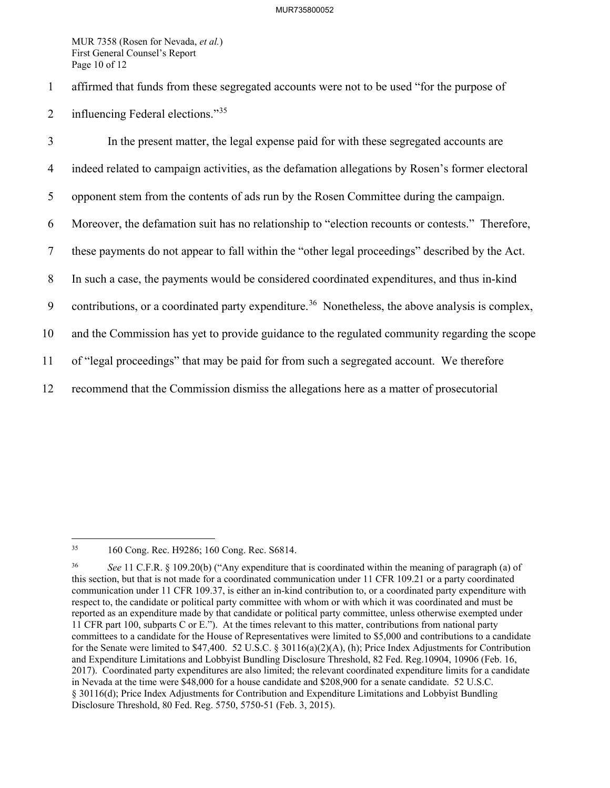MUR 7358 (Rosen for Nevada, *et al.*) First General Counsel's Report Page 10 of 12

- 1 affirmed that funds from these segregated accounts were not to be used "for the purpose of
- 2 influencing Federal elections."<sup>[35](#page-9-0)</sup>

3 In the present matter, the legal expense paid for with these segregated accounts are 4 indeed related to campaign activities, as the defamation allegations by Rosen's former electoral 5 opponent stem from the contents of ads run by the Rosen Committee during the campaign. 6 Moreover, the defamation suit has no relationship to "election recounts or contests." Therefore, 7 these payments do not appear to fall within the "other legal proceedings" described by the Act. 8 In such a case, the payments would be considered coordinated expenditures, and thus in-kind 9 contributions, or a coordinated party expenditure.<sup>[36](#page-9-1)</sup> Nonetheless, the above analysis is complex, 10 and the Commission has yet to provide guidance to the regulated community regarding the scope 11 of "legal proceedings" that may be paid for from such a segregated account. We therefore 12 recommend that the Commission dismiss the allegations here as a matter of prosecutorial

<span id="page-9-0"></span> $35<sup>°</sup>$ 35 160 Cong. Rec. H9286; 160 Cong. Rec. S6814.

<span id="page-9-1"></span><sup>36</sup> *See* 11 C.F.R. § 109.20(b) ("Any expenditure that is coordinated within the meaning of paragraph (a) of this section, but that is not made for a coordinated communication under 11 CFR 109.21 or a party coordinated communication under 11 CFR 109.37, is either an in-kind contribution to, or a coordinated party expenditure with respect to, the candidate or political party committee with whom or with which it was coordinated and must be reported as an expenditure made by that candidate or political party committee, unless otherwise exempted under 11 CFR part 100, subparts C or E."). At the times relevant to this matter, contributions from national party committees to a candidate for the House of Representatives were limited to \$5,000 and contributions to a candidate for the Senate were limited to \$47,400. 52 U.S.C. § 30116(a)(2)(A), (h); Price Index Adjustments for Contribution and Expenditure Limitations and Lobbyist Bundling Disclosure Threshold, 82 Fed. Reg.10904, 10906 (Feb. 16, 2017). Coordinated party expenditures are also limited; the relevant coordinated expenditure limits for a candidate in Nevada at the time were \$48,000 for a house candidate and \$208,900 for a senate candidate. 52 U.S.C. § 30116(d); Price Index Adjustments for Contribution and Expenditure Limitations and Lobbyist Bundling Disclosure Threshold, 80 Fed. Reg. 5750, 5750-51 (Feb. 3, 2015).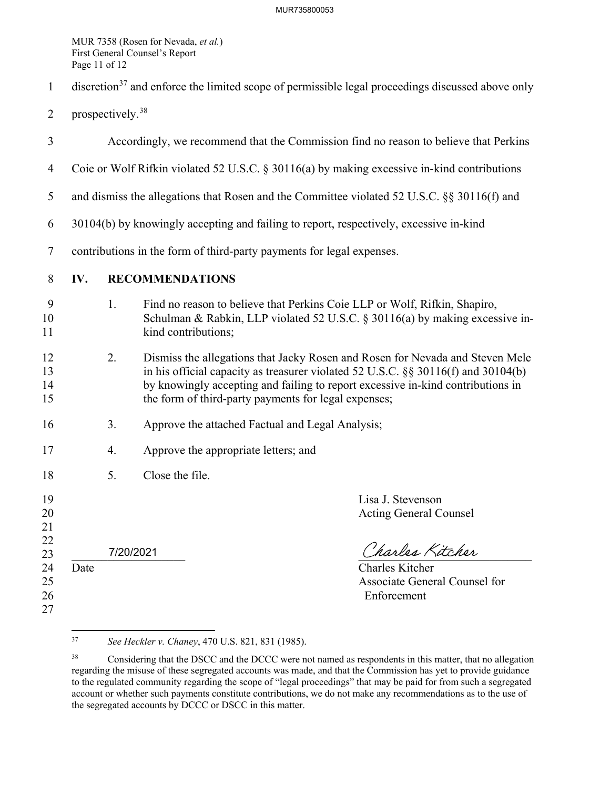MUR 7358 (Rosen for Nevada, *et al.*) First General Counsel's Report Page 11 of 12

- $1$  discretion<sup>[37](#page-10-0)</sup> and enforce the limited scope of permissible legal proceedings discussed above only
- 2 prospectively.<sup>[38](#page-10-1)</sup>
- 3 Accordingly, we recommend that the Commission find no reason to believe that Perkins 4 Coie or Wolf Rifkin violated 52 U.S.C. § 30116(a) by making excessive in-kind contributions 5 and dismiss the allegations that Rosen and the Committee violated 52 U.S.C. §§ 30116(f) and 6 30104(b) by knowingly accepting and failing to report, respectively, excessive in-kind 7 contributions in the form of third-party payments for legal expenses. 8 **IV. RECOMMENDATIONS** 9 1. Find no reason to believe that Perkins Coie LLP or Wolf, Rifkin, Shapiro, 10 Schulman & Rabkin, LLP violated 52 U.S.C. § 30116(a) by making excessive in-11 kind contributions; 12 2. Dismiss the allegations that Jacky Rosen and Rosen for Nevada and Steven Mele 13 in his official capacity as treasurer violated 52 U.S.C. §§ 30116(f) and 30104(b) 14 by knowingly accepting and failing to report excessive in-kind contributions in 15 the form of third-party payments for legal expenses; 16 3. Approve the attached Factual and Legal Analysis; 17 4. Approve the appropriate letters; and 18 5. Close the file. 19 Lisa J. Stevenson 20 Acting General Counsel 21 22  $\frac{22}{23}$  7/20/2021 7/2001 24 Date Charles Kitcher 25 **Associate General Counsel for Associate General Counsel for** 26 Enforcement 27 7/20/2021

<span id="page-10-0"></span><sup>37</sup> 37 *See Heckler v. Chaney*, 470 U.S. 821, 831 (1985).

<span id="page-10-1"></span><sup>&</sup>lt;sup>38</sup> Considering that the DSCC and the DCCC were not named as respondents in this matter, that no allegation regarding the misuse of these segregated accounts was made, and that the Commission has yet to provide guidance to the regulated community regarding the scope of "legal proceedings" that may be paid for from such a segregated account or whether such payments constitute contributions, we do not make any recommendations as to the use of the segregated accounts by DCCC or DSCC in this matter.